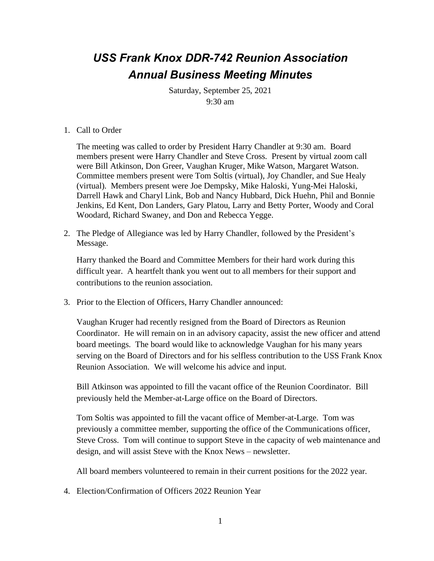## *USS Frank Knox DDR-742 Reunion Association Annual Business Meeting Minutes*

Saturday, September 25, 2021 9:30 am

## 1. Call to Order

The meeting was called to order by President Harry Chandler at 9:30 am. Board members present were Harry Chandler and Steve Cross. Present by virtual zoom call were Bill Atkinson, Don Greer, Vaughan Kruger, Mike Watson, Margaret Watson. Committee members present were Tom Soltis (virtual), Joy Chandler, and Sue Healy (virtual). Members present were Joe Dempsky, Mike Haloski, Yung-Mei Haloski, Darrell Hawk and Charyl Link, Bob and Nancy Hubbard, Dick Huehn, Phil and Bonnie Jenkins, Ed Kent, Don Landers, Gary Platou, Larry and Betty Porter, Woody and Coral Woodard, Richard Swaney, and Don and Rebecca Yegge.

2. The Pledge of Allegiance was led by Harry Chandler, followed by the President's Message.

Harry thanked the Board and Committee Members for their hard work during this difficult year. A heartfelt thank you went out to all members for their support and contributions to the reunion association.

3. Prior to the Election of Officers, Harry Chandler announced:

Vaughan Kruger had recently resigned from the Board of Directors as Reunion Coordinator. He will remain on in an advisory capacity, assist the new officer and attend board meetings. The board would like to acknowledge Vaughan for his many years serving on the Board of Directors and for his selfless contribution to the USS Frank Knox Reunion Association. We will welcome his advice and input.

Bill Atkinson was appointed to fill the vacant office of the Reunion Coordinator. Bill previously held the Member-at-Large office on the Board of Directors.

Tom Soltis was appointed to fill the vacant office of Member-at-Large. Tom was previously a committee member, supporting the office of the Communications officer, Steve Cross. Tom will continue to support Steve in the capacity of web maintenance and design, and will assist Steve with the Knox News – newsletter.

All board members volunteered to remain in their current positions for the 2022 year.

4. Election/Confirmation of Officers 2022 Reunion Year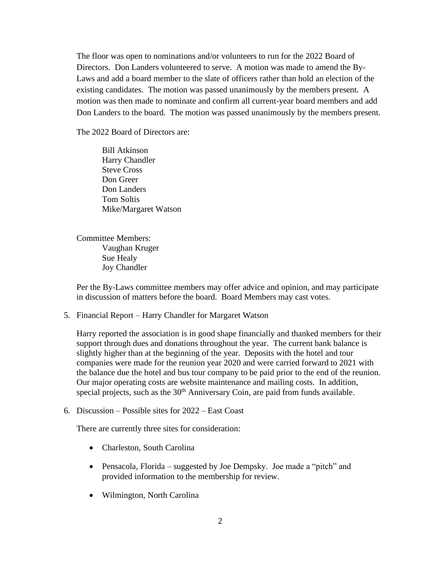The floor was open to nominations and/or volunteers to run for the 2022 Board of Directors. Don Landers volunteered to serve. A motion was made to amend the By-Laws and add a board member to the slate of officers rather than hold an election of the existing candidates. The motion was passed unanimously by the members present. A motion was then made to nominate and confirm all current-year board members and add Don Landers to the board. The motion was passed unanimously by the members present.

The 2022 Board of Directors are:

Bill Atkinson Harry Chandler Steve Cross Don Greer Don Landers Tom Soltis Mike/Margaret Watson

Committee Members: Vaughan Kruger Sue Healy Joy Chandler

Per the By-Laws committee members may offer advice and opinion, and may participate in discussion of matters before the board. Board Members may cast votes.

5. Financial Report – Harry Chandler for Margaret Watson

Harry reported the association is in good shape financially and thanked members for their support through dues and donations throughout the year. The current bank balance is slightly higher than at the beginning of the year. Deposits with the hotel and tour companies were made for the reunion year 2020 and were carried forward to 2021 with the balance due the hotel and bus tour company to be paid prior to the end of the reunion. Our major operating costs are website maintenance and mailing costs. In addition, special projects, such as the  $30<sup>th</sup>$  Anniversary Coin, are paid from funds available.

6. Discussion – Possible sites for 2022 – East Coast

There are currently three sites for consideration:

- Charleston, South Carolina
- Pensacola, Florida suggested by Joe Dempsky. Joe made a "pitch" and provided information to the membership for review.
- Wilmington, North Carolina